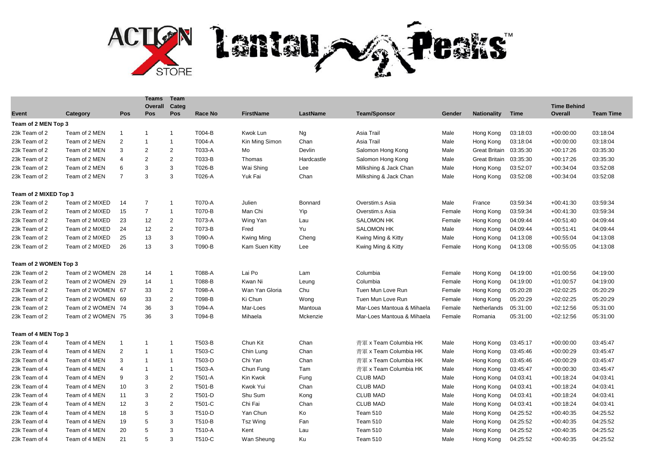

|                       |                    |                | <b>Teams</b><br>Overall | Team<br>Categ  |         |                  |                 |                            |        |                      |             | <b>Time Behind</b> |                  |
|-----------------------|--------------------|----------------|-------------------------|----------------|---------|------------------|-----------------|----------------------------|--------|----------------------|-------------|--------------------|------------------|
| Event                 | Category           | Pos            | Pos                     | Pos            | Race No | <b>FirstName</b> | <b>LastName</b> | <b>Team/Sponsor</b>        | Gender | <b>Nationality</b>   | <b>Time</b> | Overall            | <b>Team Time</b> |
| Team of 2 MEN Top 3   |                    |                |                         |                |         |                  |                 |                            |        |                      |             |                    |                  |
| 23k Team of 2         | Team of 2 MEN      | $\overline{1}$ | $\mathbf{1}$            | $\mathbf 1$    | T004-B  | Kwok Lun         | Ng              | Asia Trail                 | Male   | Hong Kong            | 03:18:03    | $+00:00:00$        | 03:18:04         |
| 23k Team of 2         | Team of 2 MEN      | $\overline{2}$ | $\mathbf{1}$            | $\mathbf{1}$   | T004-A  | Kin Ming Simon   | Chan            | Asia Trail                 | Male   | Hong Kong            | 03:18:04    | $+00:00:00$        | 03:18:04         |
| 23k Team of 2         | Team of 2 MEN      | 3              | $\overline{2}$          | $\overline{2}$ | T033-A  | Mo               | Devlin          | Salomon Hong Kong          | Male   | <b>Great Britain</b> | 03:35:30    | $+00:17:26$        | 03:35:30         |
| 23k Team of 2         | Team of 2 MEN      | 4              | $\overline{2}$          | $\overline{2}$ | T033-B  | Thomas           | Hardcastle      | Salomon Hong Kong          | Male   | <b>Great Britain</b> | 03:35:30    | $+00:17:26$        | 03:35:30         |
| 23k Team of 2         | Team of 2 MEN      | 6              | 3                       | 3              | T026-B  | Wai Shing        | Lee             | Milkshing & Jack Chan      | Male   | Hong Kong            | 03:52:07    | $+00:34:04$        | 03:52:08         |
| 23k Team of 2         | Team of 2 MEN      | $\overline{7}$ | 3                       | 3              | T026-A  | Yuk Fai          | Chan            | Milkshing & Jack Chan      | Male   | Hong Kong            | 03:52:08    | $+00:34:04$        | 03:52:08         |
| Team of 2 MIXED Top 3 |                    |                |                         |                |         |                  |                 |                            |        |                      |             |                    |                  |
| 23k Team of 2         | Team of 2 MIXED    | 14             | $\overline{7}$          | $\overline{1}$ | T070-A  | Julien           | <b>Bonnard</b>  | Overstim.s Asia            | Male   | France               | 03:59:34    | $+00:41:30$        | 03:59:34         |
| 23k Team of 2         | Team of 2 MIXED    | 15             | $\overline{7}$          | $\overline{1}$ | T070-B  | Man Chi          | Yip             | Overstim.s Asia            | Female | Hong Kong            | 03:59:34    | $+00:41:30$        | 03:59:34         |
| 23k Team of 2         | Team of 2 MIXED    | 23             | 12                      | $\overline{c}$ | T073-A  | Wing Yan         | Lau             | <b>SALOMON HK</b>          | Female | Hong Kong            | 04:09:44    | $+00:51:40$        | 04:09:44         |
| 23k Team of 2         | Team of 2 MIXED    | 24             | 12                      | 2              | T073-B  | Fred             | Yu              | <b>SALOMON HK</b>          | Male   | Hong Kong            | 04:09:44    | $+00:51:41$        | 04:09:44         |
| 23k Team of 2         | Team of 2 MIXED    | 25             | 13                      | 3              | T090-A  | Kwing Ming       | Cheng           | Kwing Ming & Kitty         | Male   | Hong Kong            | 04:13:08    | $+00:55:04$        | 04:13:08         |
| 23k Team of 2         | Team of 2 MIXED    | 26             | 13                      | 3              | T090-B  | Kam Suen Kitty   | Lee             | Kwing Ming & Kitty         | Female | Hong Kong            | 04:13:08    | $+00:55:05$        | 04:13:08         |
| Team of 2 WOMEN Top 3 |                    |                |                         |                |         |                  |                 |                            |        |                      |             |                    |                  |
| 23k Team of 2         | Team of 2 WOMEN 28 |                | 14                      | $\mathbf 1$    | T088-A  | Lai Po           | Lam             | Columbia                   | Female | Hong Kong            | 04:19:00    | $+01:00:56$        | 04:19:00         |
| 23k Team of 2         | Team of 2 WOMEN 29 |                | 14                      | $\overline{1}$ | T088-B  | Kwan Ni          | Leung           | Columbia                   | Female | Hong Kong            | 04:19:00    | $+01:00:57$        | 04:19:00         |
| 23k Team of 2         | Team of 2 WOMEN 67 |                | 33                      | $\overline{c}$ | T098-A  | Wan Yan Gloria   | Chu             | Tuen Mun Love Run          | Female | Hong Kong            | 05:20:28    | $+02:02:25$        | 05:20:29         |
| 23k Team of 2         | Team of 2 WOMEN 69 |                | 33                      | 2              | T098-B  | Ki Chun          | Wong            | Tuen Mun Love Run          | Female | Hong Kong            | 05:20:29    | $+02:02:25$        | 05:20:29         |
| 23k Team of 2         | Team of 2 WOMEN 74 |                | 36                      | 3              | T094-A  | Mar-Loes         | Mantoua         | Mar-Loes Mantoua & Mihaela | Female | Netherlands          | 05:31:00    | $+02:12:56$        | 05:31:00         |
| 23k Team of 2         | Team of 2 WOMEN 75 |                | 36                      | 3              | T094-B  | Mihaela          | Mckenzie        | Mar-Loes Mantoua & Mihaela | Female | Romania              | 05:31:00    | $+02:12:56$        | 05:31:00         |
| Team of 4 MEN Top 3   |                    |                |                         |                |         |                  |                 |                            |        |                      |             |                    |                  |
| 23k Team of 4         | Team of 4 MEN      | $\mathbf{1}$   | $\overline{1}$          | $\mathbf 1$    | T503-B  | Chun Kit         | Chan            | 青軍 x Team Columbia HK      | Male   | Hong Kong            | 03:45:17    | $+00:00:00$        | 03:45:47         |
| 23k Team of 4         | Team of 4 MEN      | 2              | $\mathbf{1}$            | $\overline{1}$ | T503-C  | Chin Lung        | Chan            | 青軍 x Team Columbia HK      | Male   | Hong Kong            | 03:45:46    | $+00:00:29$        | 03:45:47         |
| 23k Team of 4         | Team of 4 MEN      | 3              | $\mathbf{1}$            | $\overline{1}$ | T503-D  | Chi Yan          | Chan            | 青軍 x Team Columbia HK      | Male   | Hong Kong            | 03:45:46    | $+00:00:29$        | 03:45:47         |
| 23k Team of 4         | Team of 4 MEN      | $\overline{4}$ | $\mathbf{1}$            | $\mathbf{1}$   | T503-A  | Chun Fung        | Tam             | 青軍 x Team Columbia HK      | Male   | Hong Kong            | 03:45:47    | $+00:00:30$        | 03:45:47         |
| 23k Team of 4         | Team of 4 MEN      | 9              | 3                       | 2              | T501-A  | Kin Kwok         | Fung            | <b>CLUB MAD</b>            | Male   | Hong Kong            | 04:03:41    | $+00:18:24$        | 04:03:41         |
| 23k Team of 4         | Team of 4 MEN      | 10             | 3                       | 2              | T501-B  | Kwok Yui         | Chan            | <b>CLUB MAD</b>            | Male   | Hong Kong            | 04:03:41    | $+00:18:24$        | 04:03:41         |
| 23k Team of 4         | Team of 4 MEN      | 11             | 3                       | $\sqrt{2}$     | T501-D  | Shu Sum          | Kong            | <b>CLUB MAD</b>            | Male   | Hong Kong            | 04:03:41    | $+00:18:24$        | 04:03:41         |
| 23k Team of 4         | Team of 4 MEN      | 12             | 3                       | 2              | T501-C  | Chi Fai          | Chan            | <b>CLUB MAD</b>            | Male   | Hong Kong            | 04:03:41    | $+00:18:24$        | 04:03:41         |
| 23k Team of 4         | Team of 4 MEN      | 18             | 5                       | 3              | T510-D  | Yan Chun         | Ko              | Team 510                   | Male   | Hong Kong            | 04:25:52    | $+00:40:35$        | 04:25:52         |
| 23k Team of 4         | Team of 4 MEN      | 19             | 5                       | 3              | T510-B  | Tsz Wing         | Fan             | Team 510                   | Male   | Hong Kong            | 04:25:52    | $+00:40:35$        | 04:25:52         |
| 23k Team of 4         | Team of 4 MEN      | 20             | 5                       | 3              | T510-A  | Kent             | Lau             | Team 510                   | Male   | Hong Kong            | 04:25:52    | $+00:40:35$        | 04:25:52         |
| 23k Team of 4         | Team of 4 MEN      | 21             | 5                       | 3              | T510-C  | Wan Sheung       | Ku              | Team 510                   | Male   | Hong Kong            | 04:25:52    | $+00:40:35$        | 04:25:52         |